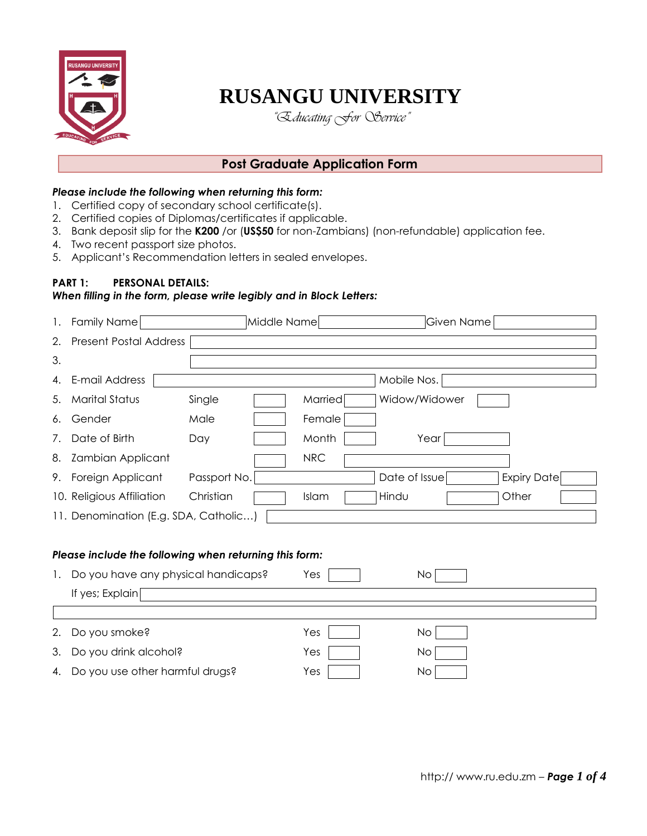

# **RUSANGU UNIVERSITY**

*"Educating For Service"*

## **Post Graduate Application Form**

## *Please include the following when returning this form:*

- 1. Certified copy of secondary school certificate(s).
- 2. Certified copies of Diplomas/certificates if applicable.
- 3. Bank deposit slip for the **K200** /or (**US\$50** for non-Zambians) (non-refundable) application fee.
- 4. Two recent passport size photos.
- 5. Applicant's Recommendation letters in sealed envelopes.

## **PART 1: PERSONAL DETAILS:**

## *When filling in the form, please write legibly and in Block Letters:*

| 1. | Family Name                                            | Middle Name  |                | Given Name         |  |
|----|--------------------------------------------------------|--------------|----------------|--------------------|--|
| 2. | <b>Present Postal Address</b>                          |              |                |                    |  |
| 3. |                                                        |              |                |                    |  |
| 4. | E-mail Address                                         |              | Mobile Nos.    |                    |  |
| 5. | <b>Marital Status</b>                                  | Single       | Married        | Widow/Widower      |  |
| 6. | Gender                                                 | Male         | Female         |                    |  |
| 7. | Date of Birth                                          | Day          | Month          | Year               |  |
| 8. | <b>Zambian Applicant</b>                               |              | <b>NRC</b>     |                    |  |
| 9. | Foreign Applicant                                      | Passport No. | Date of Issue  | <b>Expiry Date</b> |  |
|    | 10. Religious Affiliation                              | Christian    | Hindu<br>Islam | Other              |  |
|    | 11. Denomination (E.g. SDA, Catholic)                  |              |                |                    |  |
|    |                                                        |              |                |                    |  |
|    | Please include the following when returning this form: |              |                |                    |  |
| 1. | Do you have any physical handicaps?                    |              | Yes            | No                 |  |
|    | If yes; Explain                                        |              |                |                    |  |
|    |                                                        |              |                |                    |  |
| 2. | Do you smoke?                                          |              | Yes            | <b>No</b>          |  |
| 3. | Do you drink alcohol?                                  |              | Yes            | No                 |  |
| 4. | Do you use other harmful drugs?                        |              | Yes            | No                 |  |
|    |                                                        |              |                |                    |  |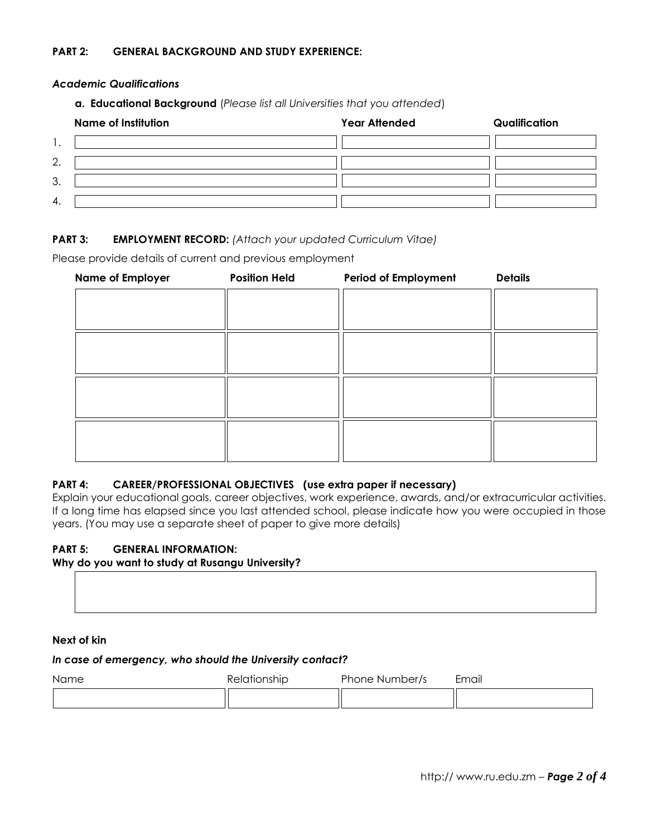## **PART 2: GENERAL BACKGROUND AND STUDY EXPERIENCE:**

#### *Academic Qualifications*

**a. Educational Background** (*Please list all Universities that you attended*)

|     | <b>Name of Institution</b> | <b>Year Attended</b> | Qualification |
|-----|----------------------------|----------------------|---------------|
| . . |                            |                      |               |
| 2.  |                            |                      |               |
| 3.  |                            |                      |               |
| 4.  |                            |                      |               |

## **PART 3: EMPLOYMENT RECORD:** *(Attach your updated Curriculum Vitae)*

Please provide details of current and previous employment

| <b>Name of Employer</b> | <b>Position Held</b> | Period of Employment | <b>Details</b> |
|-------------------------|----------------------|----------------------|----------------|
|                         |                      |                      |                |
|                         |                      |                      |                |
|                         |                      |                      |                |
|                         |                      |                      |                |
|                         |                      |                      |                |
|                         |                      |                      |                |
|                         |                      |                      |                |
|                         |                      |                      |                |
|                         |                      |                      |                |
|                         |                      |                      |                |
|                         |                      |                      |                |

## **PART 4: CAREER/PROFESSIONAL OBJECTIVES (use extra paper if necessary)**

Explain your educational goals, career objectives, work experience, awards, and/or extracurricular activities. If a long time has elapsed since you last attended school, please indicate how you were occupied in those years. (You may use a separate sheet of paper to give more details)

#### **PART 5: GENERAL INFORMATION:**

#### **Why do you want to study at Rusangu University?**

#### **Next of kin**

#### *In case of emergency, who should the University contact?*

| <b>Name</b> | Relationship | Phone Number/s | Email |
|-------------|--------------|----------------|-------|
|             |              |                |       |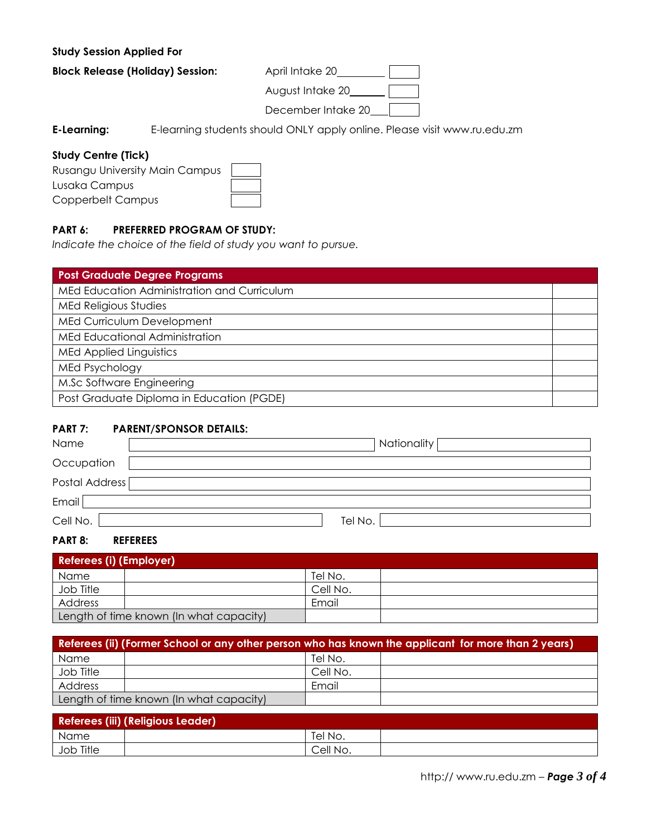## **Study Session Applied For**

**Block Release (Holiday) Session:** April Intake 20\_\_\_\_\_\_\_\_\_

 August Intake 20 December Intake 20\_\_

**E-Learning:** E-learning students should ONLY apply online. Please visit www.ru.edu.zm

## **Study Centre (Tick)**

| Rusangu University Main Campus |  |
|--------------------------------|--|
| Lusaka Campus                  |  |
| Copperbelt Campus              |  |

## **PART 6: PREFERRED PROGRAM OF STUDY:**

*Indicate the choice of the field of study you want to pursue.*

| <b>Post Graduate Degree Programs</b>        |  |
|---------------------------------------------|--|
| MEd Education Administration and Curriculum |  |
| MEd Religious Studies                       |  |
| MEd Curriculum Development                  |  |
| MEd Educational Administration              |  |
| <b>MEd Applied Linguistics</b>              |  |
| <b>MEd Psychology</b>                       |  |
| M.Sc Software Engineering                   |  |
| Post Graduate Diploma in Education (PGDE)   |  |

## **PART 7: PARENT/SPONSOR DETAILS:**

| Name           | Nationality |
|----------------|-------------|
| Occupation     |             |
| Postal Address |             |
| Email          |             |
| Cell No.       | Tel No.     |

#### **PART 8: REFEREES**

| Referees (i) (Employer)                 |  |          |  |
|-----------------------------------------|--|----------|--|
| Name                                    |  | Tel No.  |  |
| Job Title                               |  | Cell No. |  |
| Address                                 |  | Email    |  |
| Length of time known (In what capacity) |  |          |  |

| Referees (ii) (Former School or any other person who has known the applicant for more than 2 years) |  |          |  |  |
|-----------------------------------------------------------------------------------------------------|--|----------|--|--|
| Name                                                                                                |  | Tel No.  |  |  |
| Job Title                                                                                           |  | Cell No. |  |  |
| Address                                                                                             |  | Email    |  |  |
| Length of time known (In what capacity)                                                             |  |          |  |  |

| Referees (iii) (Religious Leader) |  |          |  |  |
|-----------------------------------|--|----------|--|--|
| Name                              |  | Tel No.  |  |  |
| Job Title                         |  | Cell No. |  |  |